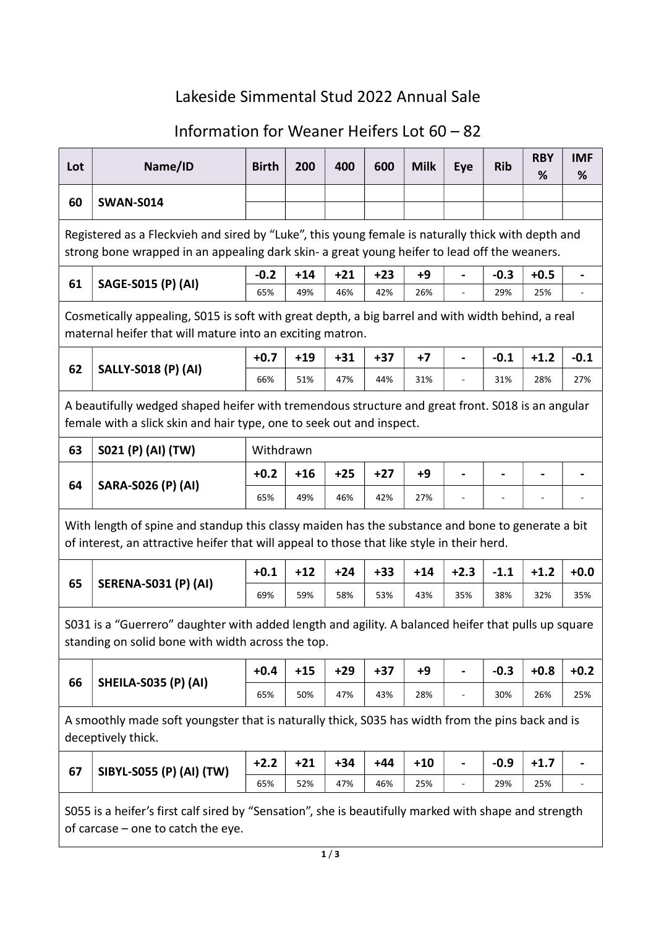## Lakeside Simmental Stud 2022 Annual Sale

## Information for Weaner Heifers Lot 60 – 82

| Lot                                                                                                                                                                      | Name/ID                                                                                                                                                                                            | <b>Birth</b> | 200   | 400   | 600   | <b>Milk</b> | Eye            | <b>Rib</b> | <b>RBY</b><br>% | <b>IMF</b><br>% |  |  |  |
|--------------------------------------------------------------------------------------------------------------------------------------------------------------------------|----------------------------------------------------------------------------------------------------------------------------------------------------------------------------------------------------|--------------|-------|-------|-------|-------------|----------------|------------|-----------------|-----------------|--|--|--|
| 60                                                                                                                                                                       | <b>SWAN-S014</b>                                                                                                                                                                                   |              |       |       |       |             |                |            |                 |                 |  |  |  |
|                                                                                                                                                                          |                                                                                                                                                                                                    |              |       |       |       |             |                |            |                 |                 |  |  |  |
|                                                                                                                                                                          | Registered as a Fleckvieh and sired by "Luke", this young female is naturally thick with depth and<br>strong bone wrapped in an appealing dark skin- a great young heifer to lead off the weaners. |              |       |       |       |             |                |            |                 |                 |  |  |  |
| 61                                                                                                                                                                       | SAGE-S015 (P) (AI)                                                                                                                                                                                 | $-0.2$       | $+14$ | $+21$ | $+23$ | $+9$        | $\blacksquare$ | $-0.3$     | $+0.5$          |                 |  |  |  |
|                                                                                                                                                                          |                                                                                                                                                                                                    | 65%          | 49%   | 46%   | 42%   | 26%         |                | 29%        | 25%             |                 |  |  |  |
| Cosmetically appealing, S015 is soft with great depth, a big barrel and with width behind, a real<br>maternal heifer that will mature into an exciting matron.           |                                                                                                                                                                                                    |              |       |       |       |             |                |            |                 |                 |  |  |  |
|                                                                                                                                                                          | $+0.7$<br>$+19$<br>$-0.1$<br>$+1.2$<br>$-0.1$<br>$+31$<br>$+37$<br>$+7$                                                                                                                            |              |       |       |       |             |                |            |                 |                 |  |  |  |
| 62                                                                                                                                                                       | <b>SALLY-S018 (P) (AI)</b>                                                                                                                                                                         | 66%          | 51%   | 47%   | 44%   | 31%         |                | 31%        | 28%             | 27%             |  |  |  |
| A beautifully wedged shaped heifer with tremendous structure and great front. S018 is an angular<br>female with a slick skin and hair type, one to seek out and inspect. |                                                                                                                                                                                                    |              |       |       |       |             |                |            |                 |                 |  |  |  |
| 63                                                                                                                                                                       | S021 (P) (AI) (TW)                                                                                                                                                                                 | Withdrawn    |       |       |       |             |                |            |                 |                 |  |  |  |
| 64                                                                                                                                                                       | <b>SARA-S026 (P) (AI)</b>                                                                                                                                                                          | $+0.2$       | $+16$ | $+25$ | $+27$ | +9          | $\blacksquare$ |            |                 |                 |  |  |  |
|                                                                                                                                                                          |                                                                                                                                                                                                    | 65%          | 49%   | 46%   | 42%   | 27%         |                |            |                 |                 |  |  |  |
|                                                                                                                                                                          | With length of spine and standup this classy maiden has the substance and bone to generate a bit<br>of interest, an attractive heifer that will appeal to those that like style in their herd.     |              |       |       |       |             |                |            |                 |                 |  |  |  |
|                                                                                                                                                                          |                                                                                                                                                                                                    | $+0.1$       | $+12$ | $+24$ | $+33$ | $+14$       | $+2.3$         | $-1.1$     | $+1.2$          | $+0.0$          |  |  |  |
| 65                                                                                                                                                                       | <b>SERENA-S031 (P) (AI)</b>                                                                                                                                                                        | 69%          | 59%   | 58%   | 53%   | 43%         | 35%            | 38%        | 32%             | 35%             |  |  |  |
|                                                                                                                                                                          | S031 is a "Guerrero" daughter with added length and agility. A balanced heifer that pulls up square<br>standing on solid bone with width across the top.                                           |              |       |       |       |             |                |            |                 |                 |  |  |  |
|                                                                                                                                                                          |                                                                                                                                                                                                    | $+0.4$       | $+15$ | $+29$ | $+37$ | $+9$        |                | $-0.3$     | $+0.8$          | $+0.2$          |  |  |  |
| 66                                                                                                                                                                       | <b>SHEILA-S035 (P) (AI)</b>                                                                                                                                                                        | 65%          | 50%   | 47%   | 43%   | 28%         |                | 30%        | 26%             | 25%             |  |  |  |
|                                                                                                                                                                          | A smoothly made soft youngster that is naturally thick, S035 has width from the pins back and is<br>deceptively thick.                                                                             |              |       |       |       |             |                |            |                 |                 |  |  |  |
|                                                                                                                                                                          |                                                                                                                                                                                                    | $+2.2$       | $+21$ | $+34$ | $+44$ | $+10$       |                | $-0.9$     | $+1.7$          |                 |  |  |  |
| 67                                                                                                                                                                       | SIBYL-S055 (P) (AI) (TW)                                                                                                                                                                           | 65%          | 52%   | 47%   | 46%   | 25%         | ÷              | 29%        | 25%             |                 |  |  |  |
|                                                                                                                                                                          | S055 is a heifer's first calf sired by "Sensation", she is beautifully marked with shape and strength<br>of carcase $-$ one to catch the eye.                                                      |              |       |       |       |             |                |            |                 |                 |  |  |  |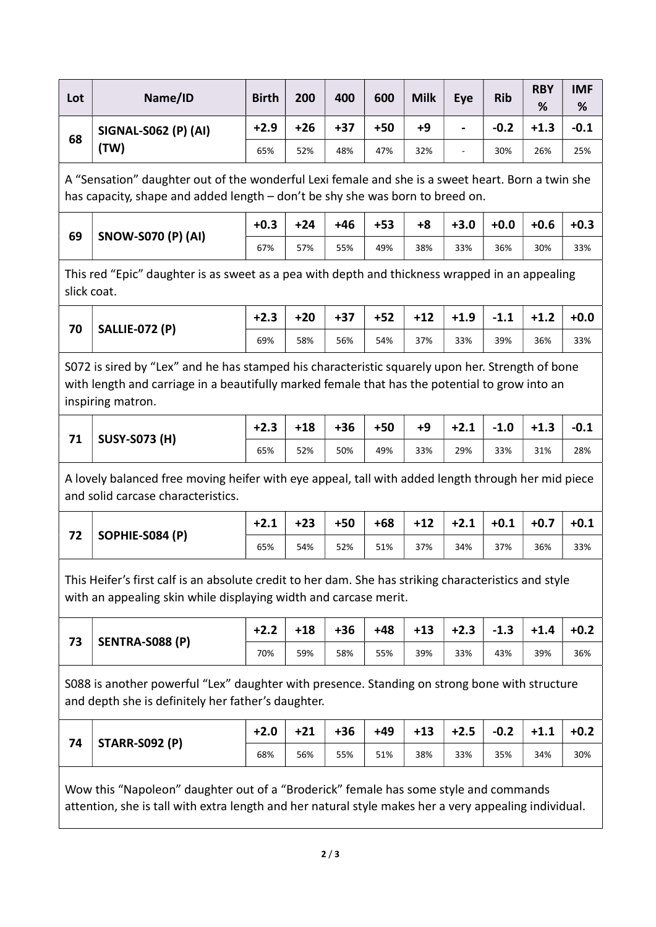| Lot | Name/ID              | <b>Birth</b> | 200 | 400   | 600 | <b>Milk</b> | Eve                      | <b>Rib</b> | <b>RBY</b><br>% | <b>IMF</b><br>% |
|-----|----------------------|--------------|-----|-------|-----|-------------|--------------------------|------------|-----------------|-----------------|
| 68  | SIGNAL-S062 (P) (AI) | $+2.9$       | +26 | $+37$ | +50 | +9          | $\blacksquare$           | $-0.2$     | $+1.3$          | $-0.1$          |
|     | 'TW)                 | 65%          | 52% | 48%   | 47% | 32%         | $\overline{\phantom{a}}$ | 30%        | 26%             | 25%             |

A "Sensation" daughter out of the wonderful Lexi female and she is a sweet heart. Born a twin she has capacity, shape and added length – don't be shy she was born to breed on.

| 69 | <b>SNOW-S070 (P) (AI)</b> | $+0.3$ | $+24$ | $+46$ | $+53$ | $+8$ | $+3.0$ | $+0.0$ | $+0.6$ | $+0.3$ |
|----|---------------------------|--------|-------|-------|-------|------|--------|--------|--------|--------|
|    |                           | 67%    | 57%   | 55%   | 49%   | 38%  | 33%    | 36%    | 30%    | 33%    |

This red "Epic" daughter is as sweet as a pea with depth and thickness wrapped in an appealing slick coat.

| 70 | <b>SALLIE-072 (P)</b> | $+2.3$ | $+20$ | $+37$ | $+52$ | $+12$ | $+1.9$ | $-1.1$ | $+1.2$ | $+0.0$ |
|----|-----------------------|--------|-------|-------|-------|-------|--------|--------|--------|--------|
|    |                       | 69%    | 58%   | 56%   | 54%   | 37%   | 33%    | 39%    | 36%    | 33%    |

S072 is sired by "Lex" and he has stamped his characteristic squarely upon her. Strength of bone with length and carriage in a beautifully marked female that has the potential to grow into an inspiring matron.

|    | <b>SUSY-S073 (H)</b> | $+2.3$ | $+18$ | $+36$ | $+50$ | +9  | $+2.1$ | $-1.0$ | $+1.3$ | ่ -0.⊥ |
|----|----------------------|--------|-------|-------|-------|-----|--------|--------|--------|--------|
| 71 |                      | 65%    | 52%   | 50%   | 49%   | 33% | 29%    | 33%    | 31%    | 28%    |

A lovely balanced free moving heifer with eye appeal, tall with added length through her mid piece and solid carcase characteristics.

| 72 | SOPHIE-S084 (P) | $+2.1$ | $+23$ | $+50$ | $+68$ | +12 | $+2.1$ | $+0.1$ | $+0.7$ | $+0.1$ |
|----|-----------------|--------|-------|-------|-------|-----|--------|--------|--------|--------|
|    |                 | 65%    | 54%   | 52%   | 51%   | 37% | 34%    | 37%    | 36%    | 33%    |

This Heifer's first calf is an absolute credit to her dam. She has striking characteristics and style with an appealing skin while displaying width and carcase merit.

| רד | SENTRA-S088 (P) | $+2.2$ | +18 | $+36$ | +48 | $+13$ | $+2.3$ | $-1.3$ | $+1.4$ | $+0.2$ |
|----|-----------------|--------|-----|-------|-----|-------|--------|--------|--------|--------|
| 5  |                 | 70%    | 59% | 58%   | 55% | 39%   | 33%    | 43%    | 39%    | 36%    |

S088 is another powerful "Lex" daughter with presence. Standing on strong bone with structure and depth she is definitely her father's daughter.

|    | <b>STARR-S092 (P)</b> | ◠   | $+21$ | +36 | +49 | $+13$ | $+2.5$ | $-0.2$ | $+1.1$ | $+0.2$ |
|----|-----------------------|-----|-------|-----|-----|-------|--------|--------|--------|--------|
| 74 |                       | 68% | 56%   | 55% | 51% | 38%   | 33%    | 35%    | 34%    | 30%    |

Wow this "Napoleon" daughter out of a "Broderick" female has some style and commands attention, she is tall with extra length and her natural style makes her a very appealing individual.